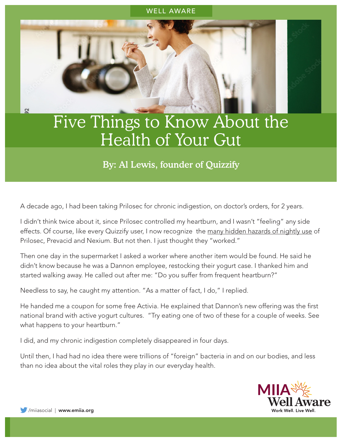# WELL AWARE

# Five Things to Know About the Health of Your Gut

# By: Al Lewis, founder of Quizzify

A decade ago, I had been taking Prilosec for chronic indigestion, on doctor's orders, for 2 years.

I didn't think twice about it, since Prilosec controlled my heartburn, and I wasn't "feeling" any side effects. Of course, like every Quizzify user, I now recognize the [many hidden hazards of nightly use](https://www.quizzify.com/post/six-things-employees-should-know-about-heartburn-part-two) of Prilosec, Prevacid and Nexium. But not then. I just thought they "worked."

Then one day in the supermarket I asked a worker where another item would be found. He said he didn't know because he was a Dannon employee, restocking their yogurt case. I thanked him and started walking away. He called out after me: "Do you suffer from frequent heartburn?"

Needless to say, he caught my attention. "As a matter of fact, I do," I replied.

He handed me a coupon for some free Activia. He explained that Dannon's new offering was the first national brand with active yogurt cultures. "Try eating one of two of these for a couple of weeks. See what happens to your heartburn."

I did, and my chronic indigestion completely disappeared in four days.

Until then, I had had no idea there were trillions of "foreign" bacteria in and on our bodies, and less than no idea about the vital roles they play in our everyday health.



 $\overline{2}$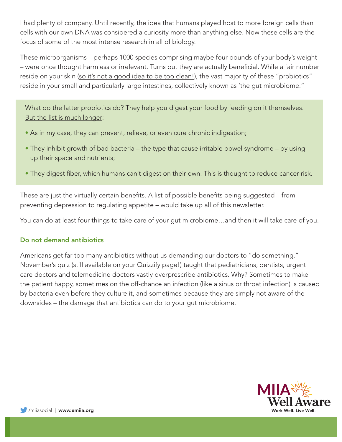I had plenty of company. Until recently, the idea that humans played host to more foreign cells than cells with our own DNA was considered a curiosity more than anything else. Now these cells are the focus of some of the most intense research in all of biology.

These microorganisms – perhaps 1000 species comprising maybe four pounds of your body's weight – were once thought harmless or irrelevant. Turns out they are actually beneficial. While a fair number reside on your skin ([so it's not a good idea to be too clean!\)](https://www.theatlantic.com/magazine/archive/2020/07/hygiene-is-overrated/612235/), the vast majority of these "probiotics" reside in your small and particularly large intestines, collectively known as 'the gut microbiome."

What do the latter probiotics do? They help you digest your food by feeding on it themselves. [But the list is much longer](https://www.healthline.com/nutrition/8-health-benefits-of-probiotics#TOC_TITLE_HDR_6):

- As in my case, they can prevent, relieve, or even cure chronic indigestion;
- They inhibit growth of bad bacteria the type that cause irritable bowel syndrome by using up their space and nutrients;
- They digest fiber, which humans can't digest on their own. This is thought to reduce cancer risk.

These are just the virtually certain benefits. A list of possible benefits being suggested – from [preventing depression](https://asm.org/Articles/2020/February/Of-Microbes-and-Mental-Health-Eating-for-Mental-We) to [regulating appetite](https://www.smithsonianmag.com/science-nature/gut-bacteria-may-be-controlling-your-appetite-180957389/) – would take up all of this newsletter.

You can do at least four things to take care of your gut microbiome…and then it will take care of you.

# Do not demand antibiotics

Americans get far too many antibiotics without us demanding our doctors to "do something." November's quiz (still available on your Quizzify page!) taught that pediatricians, dentists, urgent care doctors and telemedicine doctors vastly overprescribe antibiotics. Why? Sometimes to make the patient happy, sometimes on the off-chance an infection (like a sinus or throat infection) is caused by bacteria even before they culture it, and sometimes because they are simply not aware of the downsides – the damage that antibiotics can do to your gut microbiome.